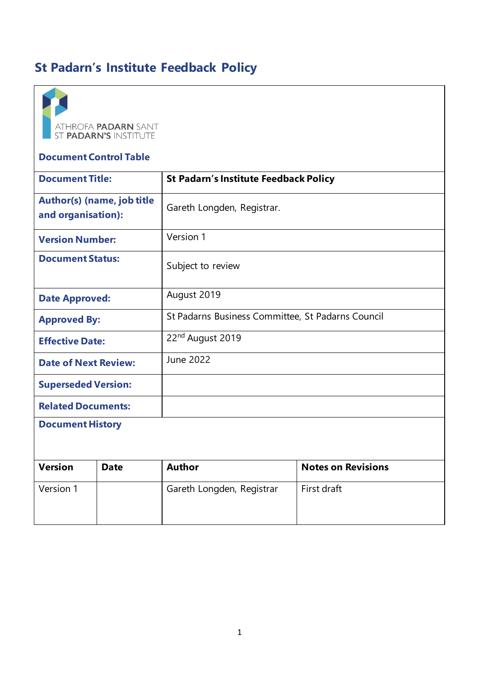# **St Padarn's Institute Feedback Policy**



## **Document Control Table**

| <b>Document Title:</b>                                  |             | <b>St Padarn's Institute Feedback Policy</b>      |                           |
|---------------------------------------------------------|-------------|---------------------------------------------------|---------------------------|
| <b>Author(s) (name, job title</b><br>and organisation): |             | Gareth Longden, Registrar.                        |                           |
| <b>Version Number:</b>                                  |             | Version 1                                         |                           |
| <b>Document Status:</b>                                 |             | Subject to review                                 |                           |
| <b>Date Approved:</b>                                   |             | August 2019                                       |                           |
| <b>Approved By:</b>                                     |             | St Padarns Business Committee, St Padarns Council |                           |
| <b>Effective Date:</b>                                  |             | 22 <sup>nd</sup> August 2019                      |                           |
| <b>Date of Next Review:</b>                             |             | <b>June 2022</b>                                  |                           |
| <b>Superseded Version:</b>                              |             |                                                   |                           |
| <b>Related Documents:</b>                               |             |                                                   |                           |
| <b>Document History</b>                                 |             |                                                   |                           |
| <b>Version</b>                                          | <b>Date</b> | <b>Author</b>                                     | <b>Notes on Revisions</b> |
| Version 1                                               |             | Gareth Longden, Registrar                         | First draft               |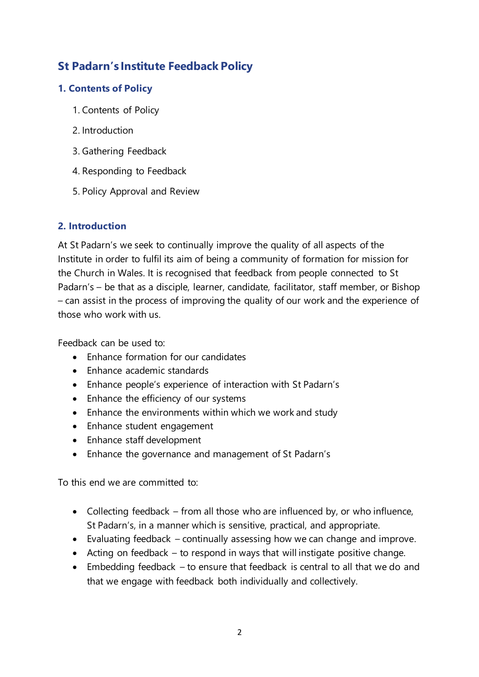# **St Padarn's Institute Feedback Policy**

# **1. Contents of Policy**

- 1. Contents of Policy
- 2. Introduction
- 3. Gathering Feedback
- 4. Responding to Feedback
- 5. Policy Approval and Review

# **2. Introduction**

At St Padarn's we seek to continually improve the quality of all aspects of the Institute in order to fulfil its aim of being a community of formation for mission for the Church in Wales. It is recognised that feedback from people connected to St Padarn's – be that as a disciple, learner, candidate, facilitator, staff member, or Bishop – can assist in the process of improving the quality of our work and the experience of those who work with us.

Feedback can be used to:

- Enhance formation for our candidates
- Enhance academic standards
- Enhance people's experience of interaction with St Padarn's
- Enhance the efficiency of our systems
- Enhance the environments within which we work and study
- Enhance student engagement
- Enhance staff development
- Enhance the governance and management of St Padarn's

To this end we are committed to:

- Collecting feedback from all those who are influenced by, or who influence, St Padarn's, in a manner which is sensitive, practical, and appropriate.
- Evaluating feedback continually assessing how we can change and improve.
- Acting on feedback to respond in ways that will instigate positive change.
- Embedding feedback to ensure that feedback is central to all that we do and that we engage with feedback both individually and collectively.